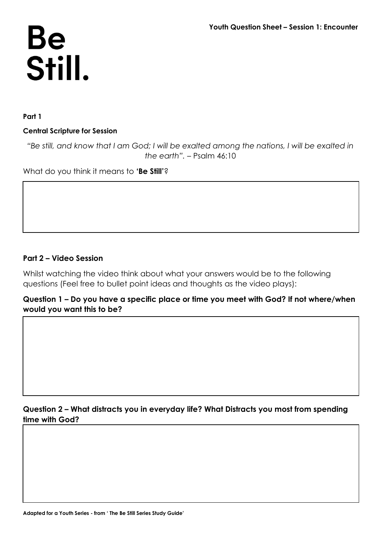# Be<br>Still.

**Part 1**

### **Central Scripture for Session**

*"Be still, and know that I am God; I will be exalted among the nations, I will be exalted in the earth".* – Psalm 46:10

What do you think it means to **'Be Still'**?

## **Part 2 – Video Session**

Whilst watching the video think about what your answers would be to the following questions (Feel free to bullet point ideas and thoughts as the video plays):

**Question 1 – Do you have a specific place or time you meet with God? If not where/when would you want this to be?**

# **Question 2 – What distracts you in everyday life? What Distracts you most from spending time with God?**